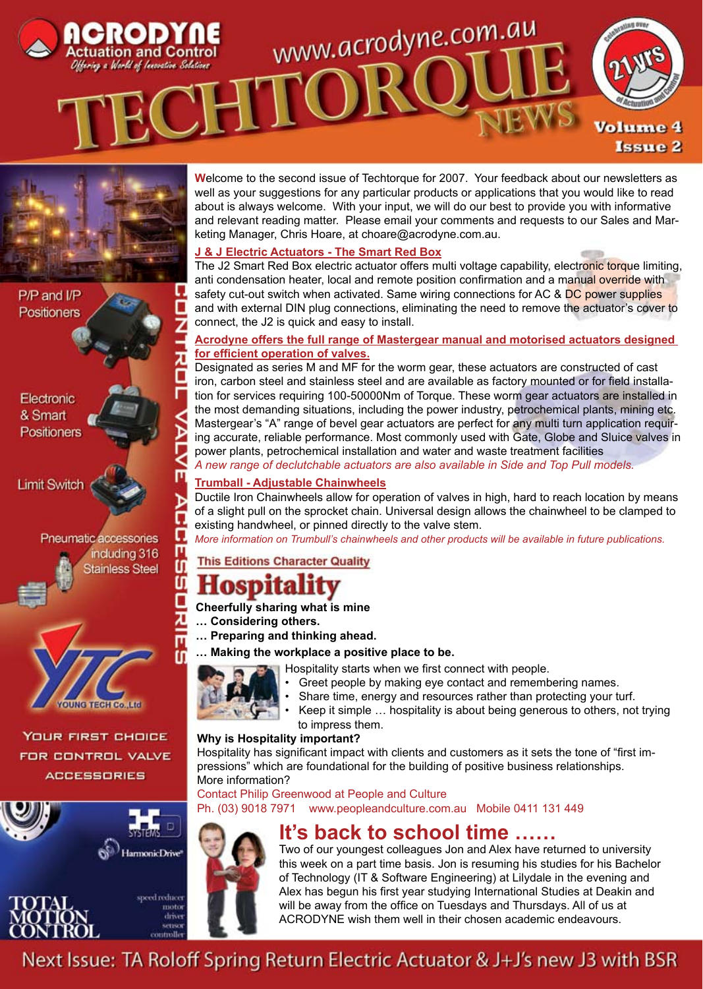



P/P and I/P Positioners

Electronic & Smart Positioners

**Limit Switch** 





**YOUR FIRST CHOICE FOR CONTROL VALVE ACCESSORIES** 





**W**elcome to the second issue of Techtorque for 2007. Your feedback about our newsletters as well as your suggestions for any particular products or applications that you would like to read about is always welcome. With your input, we will do our best to provide you with informative and relevant reading matter. Please email your comments and requests to our Sales and Marketing Manager, Chris Hoare, at choare@acrodyne.com.au.

#### **J & J Electric Actuators - The Smart Red Box**

The J2 Smart Red Box electric actuator offers multi voltage capability, electronic torque limiting, anti condensation heater, local and remote position confirmation and a manual override with safety cut-out switch when activated. Same wiring connections for AC & DC power supplies and with external DIN plug connections, eliminating the need to remove the actuator's cover to connect, the J2 is quick and easy to install.

#### **Acrodyne offers the full range of Mastergear manual and motorised actuators designed for efficient operation of valves.**

Designated as series M and MF for the worm gear, these actuators are constructed of cast iron, carbon steel and stainless steel and are available as factory mounted or for field installation for services requiring 100-50000Nm of Torque. These worm gear actuators are installed in the most demanding situations, including the power industry, petrochemical plants, mining etc. Mastergear's "A" range of bevel gear actuators are perfect for any multi turn application requiring accurate, reliable performance. Most commonly used with Gate, Globe and Sluice valves in power plants, petrochemical installation and water and waste treatment facilities *A new range of declutchable actuators are also available in Side and Top Pull models.*

#### **Trumball - Adjustable Chainwheels**

Ductile Iron Chainwheels allow for operation of valves in high, hard to reach location by means of a slight pull on the sprocket chain. Universal design allows the chainwheel to be clamped to existing handwheel, or pinned directly to the valve stem.

*More information on Trumbull's chainwheels and other products will be available in future publications.*

#### **This Editions Character Quality**

## ospita

#### **Cheerfully sharing what is mine**

- **… Considering others.**
- **… Preparing and thinking ahead.**
- **… Making the workplace a positive place to be.**



Ω

М

m

ſſ

m

seed reduce moto

controll

- Hospitality starts when we first connect with people.
	- Greet people by making eye contact and remembering names.
	- Share time, energy and resources rather than protecting your turf.
	- Keep it simple … hospitality is about being generous to others, not trying to impress them.

#### **Why is Hospitality important?**

Hospitality has significant impact with clients and customers as it sets the tone of "first impressions" which are foundational for the building of positive business relationships. More information?

Contact Philip Greenwood at People and Culture

Ph. (03) 9018 7971 www.peopleandculture.com.au Mobile 0411 131 449



### **It's back to school time ……**

Two of our youngest colleagues Jon and Alex have returned to university this week on a part time basis. Jon is resuming his studies for his Bachelor of Technology (IT & Software Engineering) at Lilydale in the evening and Alex has begun his first year studying International Studies at Deakin and will be away from the office on Tuesdays and Thursdays. All of us at ACRODYNE wish them well in their chosen academic endeavours.

Next Issue: TA Roloff Spring Return Electric Actuator & J+J's new J3 with BSR